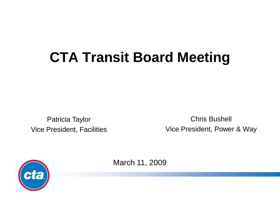# **CTA Transit Board Meeting**

Patricia Taylor Vice President, Facilities

Chris Bushell Vice President, Power & Way



March 11, 2009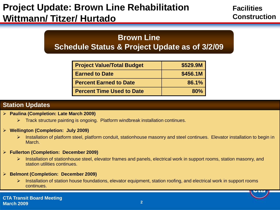# **Project Update: Brown Line Rehabilitation Wittmann/ Titzer/ Hurtado**

**Facilities Construction**

## **Brown Line Schedule Status & Project Update as of 3/2/09**

| <b>Project Value/Total Budget</b> | \$529.9M |
|-----------------------------------|----------|
| <b>Earned to Date</b>             | \$456.1M |
| <b>Percent Earned to Date</b>     | 86.1%    |
| <b>Percent Time Used to Date</b>  | 80%      |

#### **Station Updates**

- **Paulina (Completion: Late March 2009)**
	- $\triangleright$  Track structure painting is ongoing. Platform windbreak installation continues.
- **Wellington (Completion: July 2009)**
	- Installation of platform steel, platform conduit, stationhouse masonry and steel continues. Elevator installation to begin in March.
- **Fullerton (Completion: December 2009)**
	- Installation of stationhouse steel, elevator frames and panels, electrical work in support rooms, station masonry, and station utilities continues.
- **Belmont (Completion: December 2009)**
	- Installation of station house foundations, elevator equipment, station roofing, and electrical work in support rooms continues.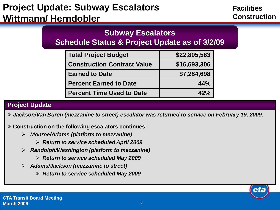# **Project Update: Subway Escalators Wittmann/ Herndobler**

**Facilities Construction**

cta

## **Subway Escalators**

**Schedule Status & Project Update as of 3/2/09**

| <b>Total Project Budget</b>        | \$22,805,563 |
|------------------------------------|--------------|
| <b>Construction Contract Value</b> | \$16,693,306 |
| <b>Earned to Date</b>              | \$7,284,698  |
| <b>Percent Earned to Date</b>      | 44%          |
| <b>Percent Time Used to Date</b>   | 42%          |

#### **Project Update**

*Jackson/Van Buren (mezzanine to street) escalator was returned to service on February 19, 2009.*

**Construction on the following escalators continues:**

- *Monroe/Adams (platform to mezzanine)*
	- *Return to service scheduled April 2009*
- *Randolph/Washington (platform to mezzanine)*
	- *Return to service scheduled May 2009*
- *Adams/Jackson (mezzanine to street)* 
	- *Return to service scheduled May 2009*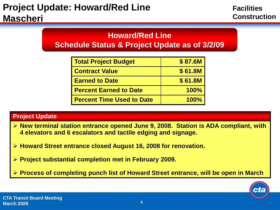## **Howard/Red Line Schedule Status & Project Update as of 3/2/09**

| <b>Total Project Budget</b>      | \$87.6M     |
|----------------------------------|-------------|
| <b>Contract Value</b>            | \$61.8M     |
| <b>Earned to Date</b>            | \$61.8M     |
| <b>Percent Earned to Date</b>    | 100%        |
| <b>Percent Time Used to Date</b> | <b>100%</b> |

- **New terminal station entrance opened June 9, 2008. Station is ADA compliant, with 4 elevators and 6 escalators and tactile edging and signage.**
- **Howard Street entrance closed August 16, 2008 for renovation.**
- **Project substantial completion met in February 2009.**
- **Process of completing punch list of Howard Street entrance, will be open in March**

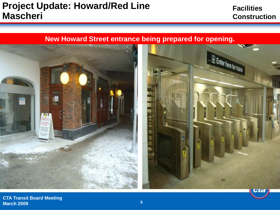## **Project Update: Howard/Red Line Mascheri**

## **Facilities Construction**

### **New Howard Street entrance being prepared for opening.**



**CTA Transit Board Meeting March 2009 5**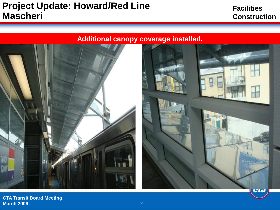## **Project Update: Howard/Red Line Mascheri**

### **Facilities Construction**

## **Additional canopy coverage installed.**





**CTA Transit Board Meeting March 2009 <sup>6</sup>**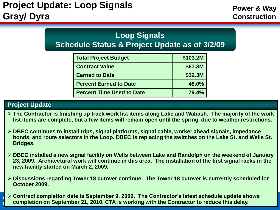# **Loop Signals**

**Schedule Status & Project Update as of 3/2/09**

| Total Project Budget             | \$103.2M |
|----------------------------------|----------|
| <b>Contract Value</b>            | \$67.3M  |
| <b>Earned to Date</b>            | \$32.3M  |
| <b>Percent Earned to Date</b>    | 48.0%    |
| <b>Percent Time Used to Date</b> | 79.4%    |

- **The Contractor is finishing up track work list items along Lake and Wabash. The majority of the work list items are complete, but a few items will remain open until the spring, due to weather restrictions.**
- **DBEC continues to install trips, signal platforms, signal cable, worker ahead signals, impedance bonds, and route selectors in the Loop. DBEC is replacing the switches on the Lake St. and Wells St. Bridges.**
- **DBEC installed a new signal facility on Wells between Lake and Randolph on the weekend of January 23, 2009. Architectural work will continue in this area. The installation of the first signal racks in the new facility started on March 2, 2009.**
- **Discussions regarding Tower 18 cutover continue. The Tower 18 cutover is currently scheduled for October 2009.**
- **EXTREX TRANSIG MEET COMPLETION DATE IS September 9, 2009. The Contractor's latest schedule update shows Mark 2019 21** *R* completion on September 21, 2010. CTA is working with the Contractor to reduce this delay.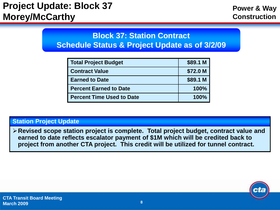# **Project Update: Block 37 Morey/McCarthy**

## **Block 37: Station Contract Schedule Status & Project Update as of 3/2/09**

| Total Project Budget          | \$89.1 M    |
|-------------------------------|-------------|
| <b>Contract Value</b>         | \$72.0 M    |
| <b>Earned to Date</b>         | \$89.1 M    |
| <b>Percent Earned to Date</b> | <b>100%</b> |
| Percent Time Used to Date     | <b>100%</b> |

#### **Station Project Update**

**Revised scope station project is complete. Total project budget, contract value and earned to date reflects escalator payment of \$1M which will be credited back to project from another CTA project. This credit will be utilized for tunnel contract.**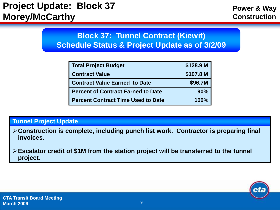## **Block 37: Tunnel Contract (Kiewit) Schedule Status & Project Update as of 3/2/09**

| Total Project Budget                 | \$128.9 M |
|--------------------------------------|-----------|
| <b>Contract Value</b>                | \$107.8 M |
| <b>Contract Value Earned to Date</b> | \$96.7M   |
| Percent of Contract Earned to Date   | 90%       |
| l Percent Contract Time Used to Date | 100%      |

#### **Tunnel Project Update**

- **Construction is complete, including punch list work. Contractor is preparing final invoices.**
- **Escalator credit of \$1M from the station project will be transferred to the tunnel project.**

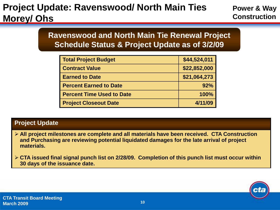# **Project Update: Ravenswood/ North Main Ties Morey/ Ohs**

## **Ravenswood and North Main Tie Renewal Project Schedule Status & Project Update as of 3/2/09**

| <b>Total Project Budget</b>      | \$44,524,011 |
|----------------------------------|--------------|
| <b>Contract Value</b>            | \$22,852,000 |
| <b>Earned to Date</b>            | \$21,064,273 |
| <b>Percent Earned to Date</b>    | 92%          |
| <b>Percent Time Used to Date</b> | 100%         |
| <b>Project Closeout Date</b>     | 4/11/09      |

- **All project milestones are complete and all materials have been received. CTA Construction and Purchasing are reviewing potential liquidated damages for the late arrival of project materials.**
- **CTA issued final signal punch list on 2/28/09. Completion of this punch list must occur within 30 days of the issuance date.**

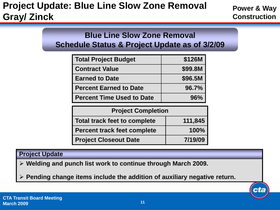# **Project Update: Blue Line Slow Zone Removal Gray/ Zinck**

**Power & Way Construction**

cta

## **Blue Line Slow Zone Removal Schedule Status & Project Update as of 3/2/09**

| Total Project Budget             | \$126M  |
|----------------------------------|---------|
| <b>Contract Value</b>            | \$99.8M |
| <b>Earned to Date</b>            | \$96.5M |
| <b>Percent Earned to Date</b>    | 96.7%   |
| <b>Percent Time Used to Date</b> | $96\%$  |

| <b>Project Completion</b>           |         |
|-------------------------------------|---------|
| <b>Total track feet to complete</b> | 111,845 |
| <b>Percent track feet complete</b>  | 100%    |
| <b>Project Closeout Date</b>        | 7/19/09 |

#### **Project Update**

**Welding and punch list work to continue through March 2009.**

**Pending change items include the addition of auxiliary negative return.**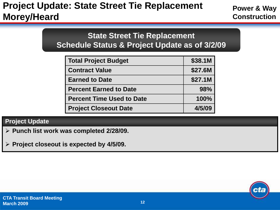# **Project Update: State Street Tie Replacement Morey/Heard**

**Power & Way Construction**

## **State Street Tie Replacement Schedule Status & Project Update as of 3/2/09**

| <b>Total Project Budget</b>      | \$38.1M |
|----------------------------------|---------|
| <b>Contract Value</b>            | \$27.6M |
| <b>Earned to Date</b>            | \$27.1M |
| <b>Percent Earned to Date</b>    | 98%     |
| <b>Percent Time Used to Date</b> | 100%    |
| <b>Project Closeout Date</b>     | 4/5/09  |

- **Punch list work was completed 2/28/09.**
- **Project closeout is expected by 4/5/09.**